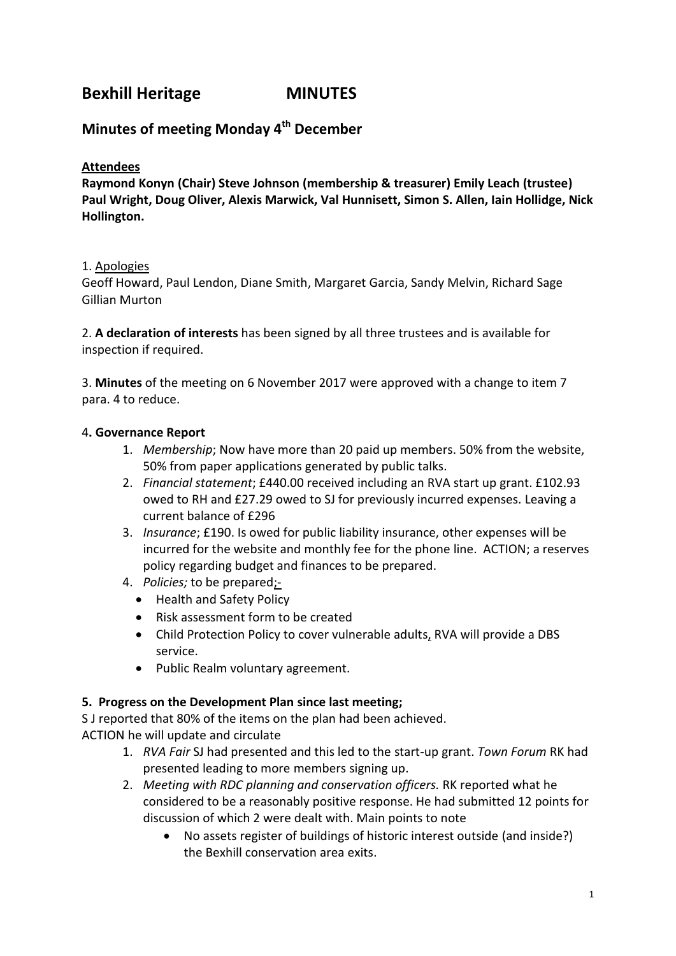# **Bexhill Heritage MINUTES**

## **Minutes of meeting Monday 4th December**

### **Attendees**

**Raymond Konyn (Chair) Steve Johnson (membership & treasurer) Emily Leach (trustee) Paul Wright, Doug Oliver, Alexis Marwick, Val Hunnisett, Simon S. Allen, Iain Hollidge, Nick Hollington.**

### 1. Apologies

Geoff Howard, Paul Lendon, Diane Smith, Margaret Garcia, Sandy Melvin, Richard Sage Gillian Murton

2. **A declaration of interests** has been signed by all three trustees and is available for inspection if required.

3. **Minutes** of the meeting on 6 November 2017 were approved with a change to item 7 para. 4 to reduce.

### 4**. Governance Report**

- 1. *Membership*; Now have more than 20 paid up members. 50% from the website, 50% from paper applications generated by public talks.
- 2. *Financial statement*; £440.00 received including an RVA start up grant. £102.93 owed to RH and £27.29 owed to SJ for previously incurred expenses. Leaving a current balance of £296
- 3. *Insurance*; £190. Is owed for public liability insurance, other expenses will be incurred for the website and monthly fee for the phone line. ACTION; a reserves policy regarding budget and finances to be prepared.
- 4. *Policies;* to be prepared;-
	- Health and Safety Policy
	- Risk assessment form to be created
	- Child Protection Policy to cover vulnerable adults, RVA will provide a DBS service.
	- Public Realm voluntary agreement.

### **5. Progress on the Development Plan since last meeting;**

S J reported that 80% of the items on the plan had been achieved.

- ACTION he will update and circulate
	- 1. *RVA Fair* SJ had presented and this led to the start-up grant. *Town Forum* RK had presented leading to more members signing up.
	- 2. *Meeting with RDC planning and conservation officers.* RK reported what he considered to be a reasonably positive response. He had submitted 12 points for discussion of which 2 were dealt with. Main points to note
		- No assets register of buildings of historic interest outside (and inside?) the Bexhill conservation area exits.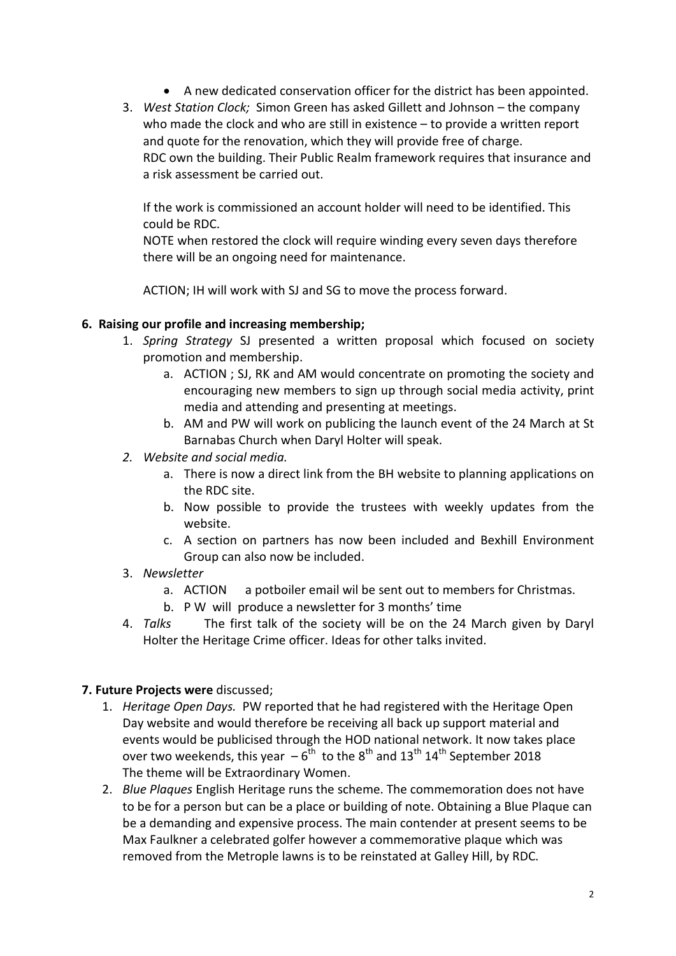- A new dedicated conservation officer for the district has been appointed.
- 3. *West Station Clock;* Simon Green has asked Gillett and Johnson the company who made the clock and who are still in existence – to provide a written report and quote for the renovation, which they will provide free of charge. RDC own the building. Their Public Realm framework requires that insurance and a risk assessment be carried out.

If the work is commissioned an account holder will need to be identified. This could be RDC.

NOTE when restored the clock will require winding every seven days therefore there will be an ongoing need for maintenance.

ACTION; IH will work with SJ and SG to move the process forward.

#### **6. Raising our profile and increasing membership;**

- 1. *Spring Strategy* SJ presented a written proposal which focused on society promotion and membership.
	- a. ACTION ; SJ, RK and AM would concentrate on promoting the society and encouraging new members to sign up through social media activity, print media and attending and presenting at meetings.
	- b. AM and PW will work on publicing the launch event of the 24 March at St Barnabas Church when Daryl Holter will speak.
- *2. Website and social media.* 
	- a. There is now a direct link from the BH website to planning applications on the RDC site.
	- b. Now possible to provide the trustees with weekly updates from the website.
	- c. A section on partners has now been included and Bexhill Environment Group can also now be included.
- 3. *Newsletter*
	- a. ACTION a potboiler email wil be sent out to members for Christmas.
	- b. P W will produce a newsletter for 3 months' time
- 4. *Talks* The first talk of the society will be on the 24 March given by Daryl Holter the Heritage Crime officer. Ideas for other talks invited.

### **7. Future Projects were** discussed;

- 1. *Heritage Open Days.* PW reported that he had registered with the Heritage Open Day website and would therefore be receiving all back up support material and events would be publicised through the HOD national network. It now takes place over two weekends, this year  $-6^{th}$  to the  $8^{th}$  and  $13^{th}$   $14^{th}$  September 2018 The theme will be Extraordinary Women.
- 2. *Blue Plaques* English Heritage runs the scheme. The commemoration does not have to be for a person but can be a place or building of note. Obtaining a Blue Plaque can be a demanding and expensive process. The main contender at present seems to be Max Faulkner a celebrated golfer however a commemorative plaque which was removed from the Metrople lawns is to be reinstated at Galley Hill, by RDC.